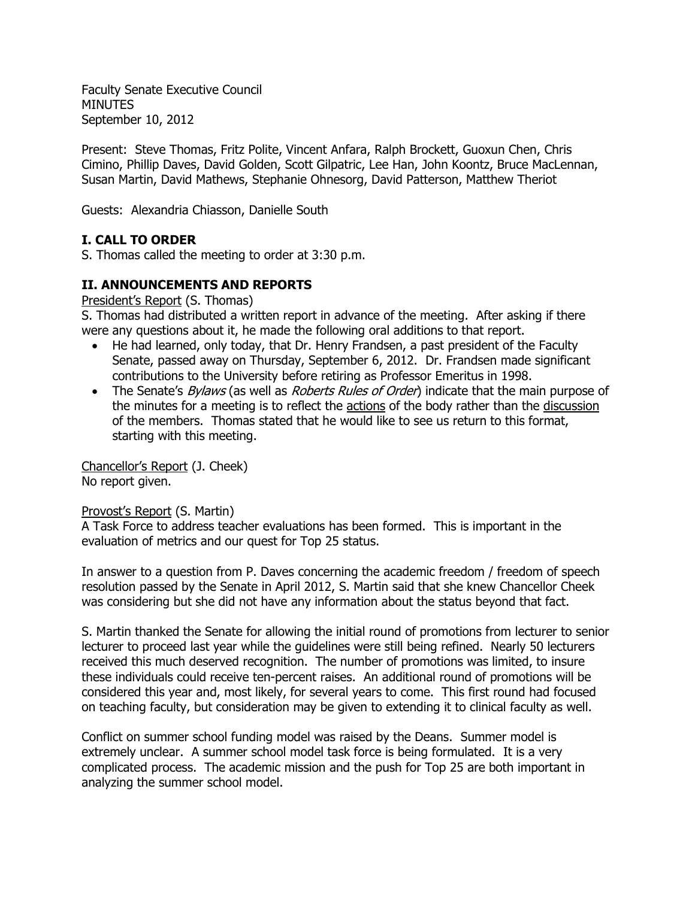Faculty Senate Executive Council MINUTES September 10, 2012

Present: Steve Thomas, Fritz Polite, Vincent Anfara, Ralph Brockett, Guoxun Chen, Chris Cimino, Phillip Daves, David Golden, Scott Gilpatric, Lee Han, John Koontz, Bruce MacLennan, Susan Martin, David Mathews, Stephanie Ohnesorg, David Patterson, Matthew Theriot

Guests: Alexandria Chiasson, Danielle South

# **I. CALL TO ORDER**

S. Thomas called the meeting to order at 3:30 p.m.

## **II. ANNOUNCEMENTS AND REPORTS**

President's Report (S. Thomas)

S. Thomas had distributed a written report in advance of the meeting. After asking if there were any questions about it, he made the following oral additions to that report.

- He had learned, only today, that Dr. Henry Frandsen, a past president of the Faculty Senate, passed away on Thursday, September 6, 2012. Dr. Frandsen made significant contributions to the University before retiring as Professor Emeritus in 1998.
- The Senate's *Bylaws* (as well as *Roberts Rules of Order*) indicate that the main purpose of the minutes for a meeting is to reflect the actions of the body rather than the discussion of the members. Thomas stated that he would like to see us return to this format, starting with this meeting.

Chancellor's Report (J. Cheek) No report given.

#### Provost's Report (S. Martin)

A Task Force to address teacher evaluations has been formed. This is important in the evaluation of metrics and our quest for Top 25 status.

In answer to a question from P. Daves concerning the academic freedom / freedom of speech resolution passed by the Senate in April 2012, S. Martin said that she knew Chancellor Cheek was considering but she did not have any information about the status beyond that fact.

S. Martin thanked the Senate for allowing the initial round of promotions from lecturer to senior lecturer to proceed last year while the guidelines were still being refined. Nearly 50 lecturers received this much deserved recognition. The number of promotions was limited, to insure these individuals could receive ten-percent raises. An additional round of promotions will be considered this year and, most likely, for several years to come. This first round had focused on teaching faculty, but consideration may be given to extending it to clinical faculty as well.

Conflict on summer school funding model was raised by the Deans. Summer model is extremely unclear. A summer school model task force is being formulated. It is a very complicated process. The academic mission and the push for Top 25 are both important in analyzing the summer school model.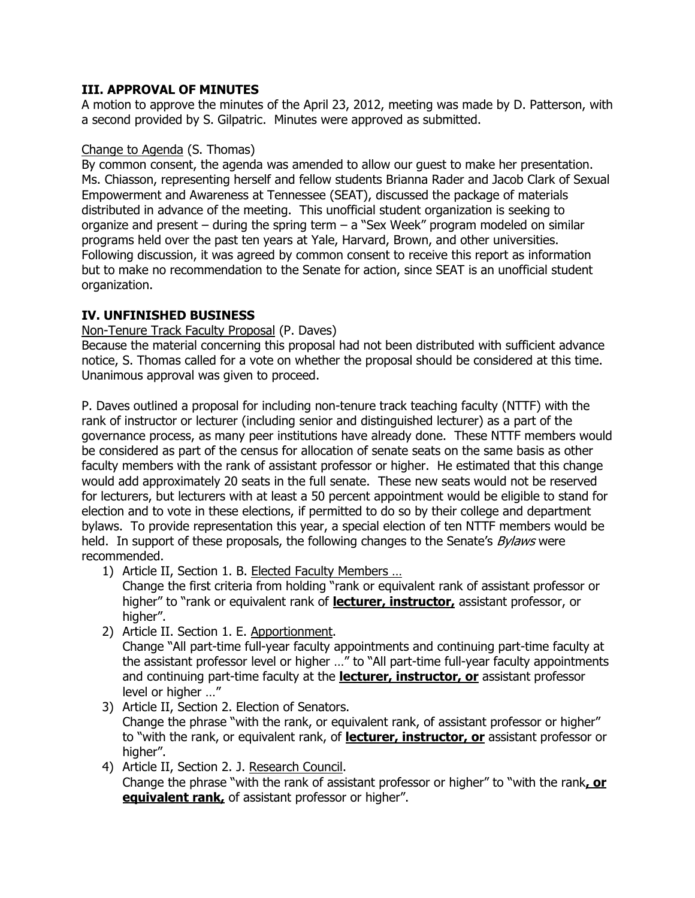## **III. APPROVAL OF MINUTES**

A motion to approve the minutes of the April 23, 2012, meeting was made by D. Patterson, with a second provided by S. Gilpatric. Minutes were approved as submitted.

#### Change to Agenda (S. Thomas)

By common consent, the agenda was amended to allow our guest to make her presentation. Ms. Chiasson, representing herself and fellow students Brianna Rader and Jacob Clark of Sexual Empowerment and Awareness at Tennessee (SEAT), discussed the package of materials distributed in advance of the meeting. This unofficial student organization is seeking to organize and present – during the spring term – a "Sex Week" program modeled on similar programs held over the past ten years at Yale, Harvard, Brown, and other universities. Following discussion, it was agreed by common consent to receive this report as information but to make no recommendation to the Senate for action, since SEAT is an unofficial student organization.

## **IV. UNFINISHED BUSINESS**

Non-Tenure Track Faculty Proposal (P. Daves)

Because the material concerning this proposal had not been distributed with sufficient advance notice, S. Thomas called for a vote on whether the proposal should be considered at this time. Unanimous approval was given to proceed.

P. Daves outlined a proposal for including non-tenure track teaching faculty (NTTF) with the rank of instructor or lecturer (including senior and distinguished lecturer) as a part of the governance process, as many peer institutions have already done. These NTTF members would be considered as part of the census for allocation of senate seats on the same basis as other faculty members with the rank of assistant professor or higher. He estimated that this change would add approximately 20 seats in the full senate. These new seats would not be reserved for lecturers, but lecturers with at least a 50 percent appointment would be eligible to stand for election and to vote in these elections, if permitted to do so by their college and department bylaws. To provide representation this year, a special election of ten NTTF members would be held. In support of these proposals, the following changes to the Senate's *Bylaws* were recommended.

1) Article II, Section 1. B. Elected Faculty Members …

Change the first criteria from holding "rank or equivalent rank of assistant professor or higher" to "rank or equivalent rank of **lecturer, instructor,** assistant professor, or higher".

2) Article II. Section 1. E. Apportionment.

Change "All part-time full-year faculty appointments and continuing part-time faculty at the assistant professor level or higher …" to "All part-time full-year faculty appointments and continuing part-time faculty at the **lecturer, instructor, or** assistant professor level or higher …"

- 3) Article II, Section 2. Election of Senators. Change the phrase "with the rank, or equivalent rank, of assistant professor or higher" to "with the rank, or equivalent rank, of **lecturer, instructor, or** assistant professor or higher".
- 4) Article II, Section 2. J. Research Council. Change the phrase "with the rank of assistant professor or higher" to "with the rank**, or equivalent rank**, of assistant professor or higher".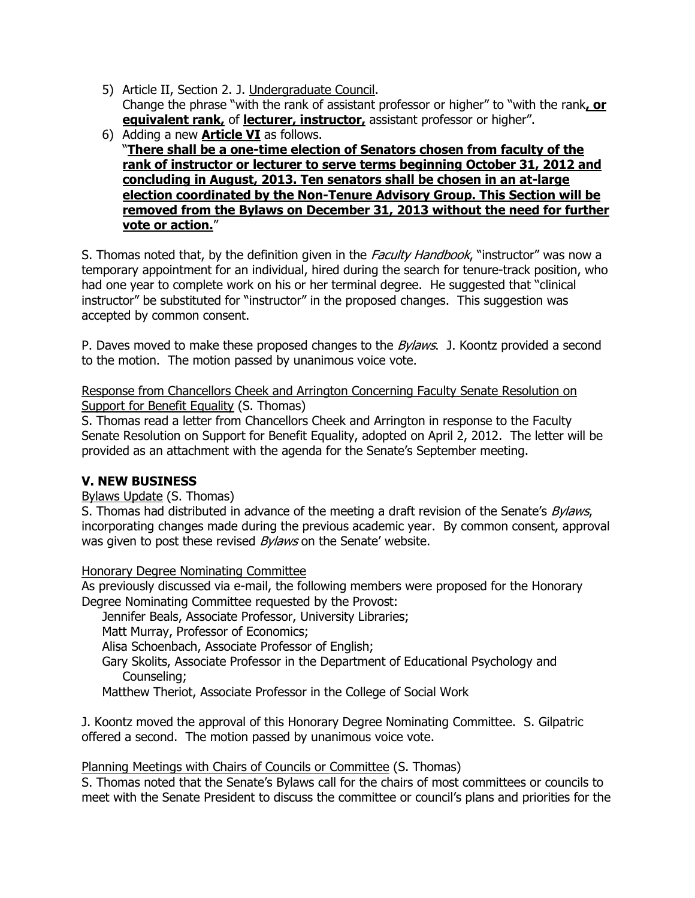- 5) Article II, Section 2. J. Undergraduate Council. Change the phrase "with the rank of assistant professor or higher" to "with the rank**, or equivalent rank,** of **lecturer, instructor,** assistant professor or higher".
- 6) Adding a new **Article VI** as follows. "**There shall be a one-time election of Senators chosen from faculty of the rank of instructor or lecturer to serve terms beginning October 31, 2012 and concluding in August, 2013. Ten senators shall be chosen in an at-large election coordinated by the Non-Tenure Advisory Group. This Section will be removed from the Bylaws on December 31, 2013 without the need for further vote or action.**"

S. Thomas noted that, by the definition given in the Faculty Handbook, "instructor" was now a temporary appointment for an individual, hired during the search for tenure-track position, who had one year to complete work on his or her terminal degree. He suggested that "clinical instructor" be substituted for "instructor" in the proposed changes. This suggestion was accepted by common consent.

P. Daves moved to make these proposed changes to the *Bylaws*. J. Koontz provided a second to the motion. The motion passed by unanimous voice vote.

Response from Chancellors Cheek and Arrington Concerning Faculty Senate Resolution on Support for Benefit Equality (S. Thomas)

S. Thomas read a letter from Chancellors Cheek and Arrington in response to the Faculty Senate Resolution on Support for Benefit Equality, adopted on April 2, 2012. The letter will be provided as an attachment with the agenda for the Senate's September meeting.

## **V. NEW BUSINESS**

Bylaws Update (S. Thomas)

S. Thomas had distributed in advance of the meeting a draft revision of the Senate's *Bylaws*, incorporating changes made during the previous academic year. By common consent, approval was given to post these revised *Bylaws* on the Senate' website.

Honorary Degree Nominating Committee

As previously discussed via e-mail, the following members were proposed for the Honorary Degree Nominating Committee requested by the Provost:

Jennifer Beals, Associate Professor, University Libraries;

Matt Murray, Professor of Economics;

Alisa Schoenbach, Associate Professor of English;

Gary Skolits, Associate Professor in the Department of Educational Psychology and Counseling;

Matthew Theriot, Associate Professor in the College of Social Work

J. Koontz moved the approval of this Honorary Degree Nominating Committee. S. Gilpatric offered a second. The motion passed by unanimous voice vote.

Planning Meetings with Chairs of Councils or Committee (S. Thomas)

S. Thomas noted that the Senate's Bylaws call for the chairs of most committees or councils to meet with the Senate President to discuss the committee or council's plans and priorities for the